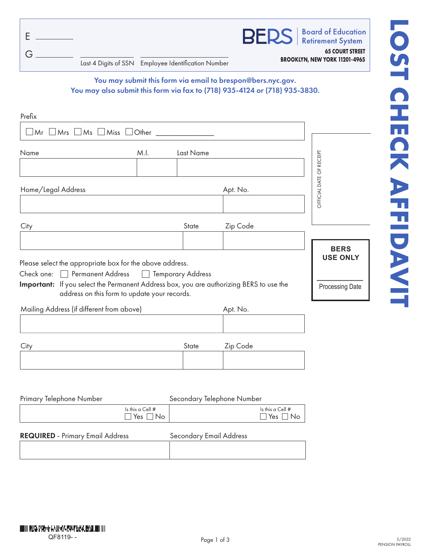| Ε<br>G                                                                                                 |      | Last 4 Digits of SSN Employee Identification Number |                                                                                                                                           | <b>BERS</b>   Board of Equication<br><b>65 COURT STREET</b><br>BROOKLYN, NEW YORK 11201-4965 |
|--------------------------------------------------------------------------------------------------------|------|-----------------------------------------------------|-------------------------------------------------------------------------------------------------------------------------------------------|----------------------------------------------------------------------------------------------|
|                                                                                                        |      |                                                     | You may submit this form via email to brespon@bers.nyc.gov.<br>You may also submit this form via fax to (718) 935-4124 or (718) 935-3830. |                                                                                              |
|                                                                                                        |      |                                                     |                                                                                                                                           |                                                                                              |
| Prefix                                                                                                 |      |                                                     |                                                                                                                                           |                                                                                              |
|                                                                                                        |      |                                                     |                                                                                                                                           |                                                                                              |
| $\Box$ Mr $\Box$ Mrs $\Box$ Ms $\Box$ Miss $\Box$ Other $\_\_\_\_\_\_\_\_\_\_\_\_\_\_\_\_\_\_\_\_\_\_$ |      |                                                     |                                                                                                                                           |                                                                                              |
|                                                                                                        | M.I. | Last Name                                           |                                                                                                                                           |                                                                                              |
|                                                                                                        |      |                                                     |                                                                                                                                           | RECEIPT<br>$\overline{\overline{6}}$                                                         |
| Name<br>Home/Legal Address                                                                             |      |                                                     | Apt. No.                                                                                                                                  | OFFICIAL DATE                                                                                |

| Home/Legal Address | Apt. No. |
|--------------------|----------|
|                    |          |

| City | State | Zip Code |
|------|-------|----------|
|      |       |          |

Please select the appropriate box for the above address.

Check one: Permanent Address Pemporary Address

Important: If you select the Permanent Address box, you are authorizing BERS to use the address on this form to update your records.

Mailing Address (if different from above) Apt. No.

| Cit | <b>State</b> | Zip Code |
|-----|--------------|----------|
|     |              |          |
|     |              |          |

| Primary Telephone Number                |                                     | Secondary Telephone Number     |                                            |
|-----------------------------------------|-------------------------------------|--------------------------------|--------------------------------------------|
|                                         | Is this a Cell $#$<br>$Yes \Box No$ |                                | Is this a Cell $#$<br>$\Box$ Yes $\Box$ No |
| <b>REQUIRED</b> - Primary Email Address |                                     | <b>Secondary Email Address</b> |                                            |
|                                         |                                     |                                |                                            |

**BERS USE ONLY**

 $\overline{\phantom{a}}$ Processing Date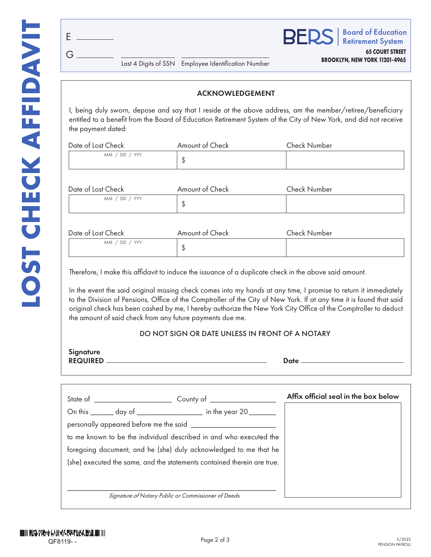E

G



**BROOKLYN, NEW YORK 11201-4965** Last 4 Digits of SSN Employee Identification Number

# ACKNOWLEDGEMENT

I, being duly sworn, depose and say that I reside at the above address, am the member/retiree/beneficiary entitled to a benefit from the Board of Education Retirement System of the City of New York, and did not receive the payment dated:

| Date of Lost Check | Amount of Check | <b>Check Number</b> |  |
|--------------------|-----------------|---------------------|--|
| MM / DD / YY       |                 |                     |  |

| Date of Lost Check | Amount of Check | <b>Check Number</b> |
|--------------------|-----------------|---------------------|
| MM / DD / YY       |                 |                     |

| Date of Lost Check | Amount of Check | <b>Check Number</b> |
|--------------------|-----------------|---------------------|
| MM / DD / YYY      |                 |                     |

Therefore, I make this affidavit to induce the issuance of a duplicate check in the above said amount.

In the event the said original missing check comes into my hands at any time, I promise to return it immediately to the Division of Pensions, Office of the Comptroller of the City of New York. If at any time it is found that said original check has been cashed by me, I hereby authorize the New York City Office of the Comptroller to deduct the amount of said check from any future payments due me.

## DO NOT SIGN OR DATE UNLESS IN FRONT OF A NOTARY

| Signature       |      |
|-----------------|------|
| <b>REQUIRED</b> | Date |
|                 |      |

|                                                                         | Affix official seal in the box below |
|-------------------------------------------------------------------------|--------------------------------------|
| On this _______ day of __________________ in the year 20 _______        |                                      |
|                                                                         |                                      |
| to me known to be the individual described in and who executed the      |                                      |
| foregoing document, and he (she) duly acknowledged to me that he        |                                      |
| (she) executed the same, and the statements contained therein are true. |                                      |
|                                                                         |                                      |
|                                                                         |                                      |
| Signature of Notary Public or Commissioner of Deeds                     |                                      |